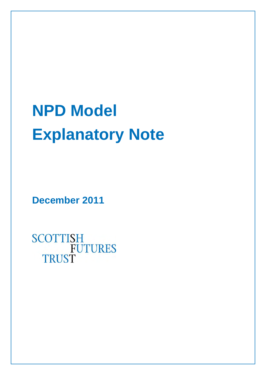## **NPD Model Explanatory Note**

**December 2011**

**SCOTTISH FUTURES TRUST**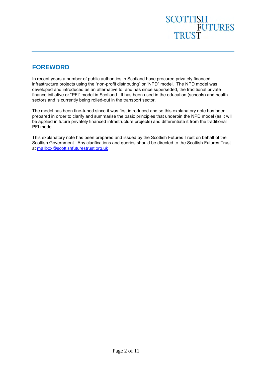## SCOTTISH<br>FUTURES<br>TRUST

#### <span id="page-1-0"></span>**FOREWORD**

In recent years a number of public authorities in Scotland have procured privately financed infrastructure projects using the "non-profit distributing" or "NPD" model. The NPD model was developed and introduced as an alternative to, and has since superseded, the traditional private finance initiative or "PFI" model in Scotland. It has been used in the education (schools) and health sectors and is currently being rolled-out in the transport sector.

The model has been fine-tuned since it was first introduced and so this explanatory note has been prepared in order to clarify and summarise the basic principles that underpin the NPD model (as it will be applied in future privately financed infrastructure projects) and differentiate it from the traditional PFI model.

This explanatory note has been prepared and issued by the Scottish Futures Trust on behalf of the Scottish Government. Any clarifications and queries should be directed to the Scottish Futures Trust at [mailbox@scottishfuturestrust.org.uk](mailto:mailbox@scottishfuturestrust.org.uk)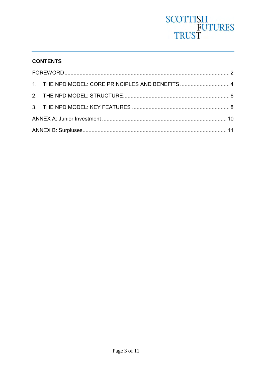# SCOTTISH<br>FUTURES<br>TRUST

#### **CONTENTS**

|  | 1. THE NPD MODEL: CORE PRINCIPLES AND BENEFITS  4 |  |
|--|---------------------------------------------------|--|
|  |                                                   |  |
|  |                                                   |  |
|  |                                                   |  |
|  |                                                   |  |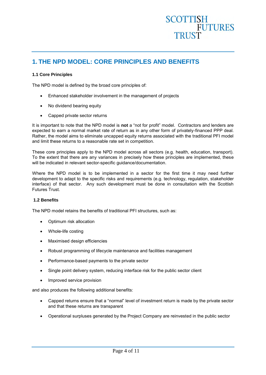#### **SCOTTISH FUTURES TRUST**

#### <span id="page-3-0"></span>**1. THE NPD MODEL: CORE PRINCIPLES AND BENEFITS**

#### **1.1 Core Principles**

The NPD model is defined by the broad core principles of:

- Enhanced stakeholder involvement in the management of projects
- No dividend bearing equity
- Capped private sector returns

It is important to note that the NPD model is **not** a "not for profit" model. Contractors and lenders are expected to earn a normal market rate of return as in any other form of privately-financed PPP deal. Rather, the model aims to eliminate uncapped equity returns associated with the traditional PFI model and limit these returns to a reasonable rate set in competition.

These core principles apply to the NPD model across all sectors (e.g. health, education, transport). To the extent that there are any variances in precisely how these principles are implemented, these will be indicated in relevant sector-specific guidance/documentation.

Where the NPD model is to be implemented in a sector for the first time it may need further development to adapt to the specific risks and requirements (e.g. technology, regulation, stakeholder interface) of that sector. Any such development must be done in consultation with the Scottish Futures Trust.

#### **1.2 Benefits**

The NPD model retains the benefits of traditional PFI structures, such as:

- Optimum risk allocation
- Whole-life costing
- Maximised design efficiencies
- Robust programming of lifecycle maintenance and facilities management
- Performance-based payments to the private sector
- Single point delivery system, reducing interface risk for the public sector client
- Improved service provision

and also produces the following additional benefits:

- Capped returns ensure that a "normal" level of investment return is made by the private sector and that these returns are transparent
- Operational surpluses generated by the Project Company are reinvested in the public sector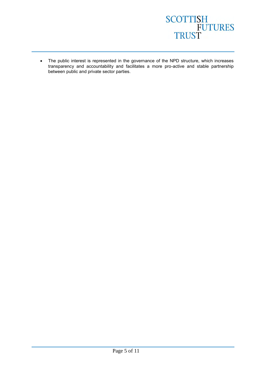

 The public interest is represented in the governance of the NPD structure, which increases transparency and accountability and facilitates a more pro-active and stable partnership between public and private sector parties.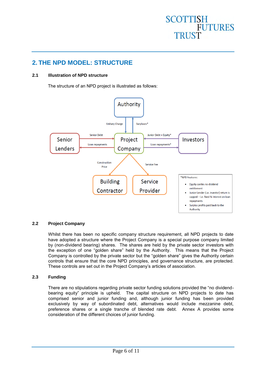## SCOTTISH<br>FUTURES **TRUST**

#### <span id="page-5-0"></span>**2. THE NPD MODEL: STRUCTURE**

#### **2.1 Illustration of NPD structure**

The structure of an NPD project is illustrated as follows:



#### **2.2 Project Company**

Whilst there has been no specific company structure requirement, all NPD projects to date have adopted a structure where the Project Company is a special purpose company limited by (non-dividend bearing) shares. The shares are held by the private sector investors with the exception of one "golden share" held by the Authority. This means that the Project Company is controlled by the private sector but the "golden share" gives the Authority certain controls that ensure that the core NPD principles, and governance structure, are protected. These controls are set out in the Project Company's articles of association.

#### **2.3 Funding**

There are no stipulations regarding private sector funding solutions provided the "no dividendbearing equity" principle is upheld. The capital structure on NPD projects to date has comprised senior and junior funding and, although junior funding has been provided exclusively by way of subordinated debt, alternatives would include mezzanine debt, preference shares or a single tranche of blended rate debt. Annex A provides some consideration of the different choices of junior funding.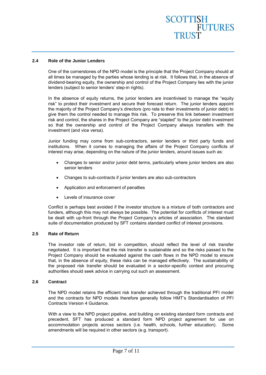#### **2.4 Role of the Junior Lenders**

One of the cornerstones of the NPD model is the principle that the Project Company should at all times be managed by the parties whose lending is at risk. It follows that, in the absence of dividend-bearing equity, the ownership and control of the Project Company lies with the junior lenders (subject to senior lenders' step-in rights).

In the absence of equity returns, the junior lenders are incentivised to manage the "equity risk" to protect their investment and secure their forecast return. The junior lenders appoint the majority of the Project Company's directors (pro rata to their investments of junior debt) to give them the control needed to manage this risk. To preserve this link between investment risk and control, the shares in the Project Company are "stapled" to the junior debt investment so that the ownership and control of the Project Company always transfers with the investment (and vice versa).

Junior funding may come from sub-contractors, senior lenders or third party funds and institutions. When it comes to managing the affairs of the Project Company conflicts of interest may arise, depending on the nature of the junior lenders, around issues such as:

- Changes to senior and/or junior debt terms, particularly where junior lenders are also senior lenders
- Changes to sub-contracts if junior lenders are also sub-contractors
- Application and enforcement of penalties
- Levels of insurance cover

Conflict is perhaps best avoided if the investor structure is a mixture of both contractors and funders, although this may not always be possible. The potential for conflicts of interest must be dealt with up-front through the Project Company's articles of association. The standard suite of documentation produced by SFT contains standard conflict of interest provisions.

#### **2.5 Rate of Return**

The investor rate of return, bid in competition, should reflect the level of risk transfer negotiated. It is important that the risk transfer is sustainable and so the risks passed to the Project Company should be evaluated against the cash flows in the NPD model to ensure that, in the absence of equity, these risks can be managed effectively. The sustainability of the proposed risk transfer should be evaluated in a sector-specific context and procuring authorities should seek advice in carrying out such an assessment.

#### **2.6 Contract**

The NPD model retains the efficient risk transfer achieved through the traditional PFI model and the contracts for NPD models therefore generally follow HMT's Standardisation of PFI Contracts Version 4 Guidance.

With a view to the NPD project pipeline, and building on existing standard form contracts and precedent, SFT has produced a standard form NPD project agreement for use on accommodation projects across sectors (i.e. health, schools, further education). Some amendments will be required in other sectors (e.g. transport).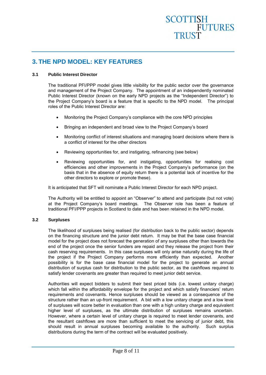### SCOTTISH<br>
FUTURES TRUST

#### <span id="page-7-0"></span>**3. THE NPD MODEL: KEY FEATURES**

#### **3.1 Public Interest Director**

The traditional PFI/PPP model gives little visibility for the public sector over the governance and management of the Project Company. The appointment of an independently nominated Public Interest Director (known on the early NPD projects as the "Independent Director") to the Project Company's board is a feature that is specific to the NPD model. The principal roles of the Public Interest Director are:

- Monitoring the Project Company's compliance with the core NPD principles
- Bringing an independent and broad view to the Project Company's board
- Monitoring conflict of interest situations and managing board decisions where there is a conflict of interest for the other directors
- Reviewing opportunities for, and instigating, refinancing (see below)
- Reviewing opportunities for, and instigating, opportunities for realising cost efficiencies and other improvements in the Project Company's performance (on the basis that in the absence of equity return there is a potential lack of incentive for the other directors to explore or promote these).

It is anticipated that SFT will nominate a Public Interest Director for each NPD project.

The Authority will be entitled to appoint an "Observer" to attend and participate (but not vote) at the Project Company's board meetings. The Observer role has been a feature of traditional PFI/PPP projects in Scotland to date and has been retained in the NPD model.

#### **3.2 Surpluses**

The likelihood of surpluses being realised (for distribution back to the public sector) depends on the financing structure and the junior debt return. It may be that the base case financial model for the project does not forecast the generation of any surpluses other than towards the end of the project once the senior funders are repaid and they release the project from their cash reserving requirements. In this case surpluses will only arise naturally during the life of the project if the Project Company performs more efficiently than expected. Another possibility is for the base case financial model for the project to generate an annual distribution of surplus cash for distribution to the public sector, as the cashflows required to satisfy lender covenants are greater than required to meet junior debt service.

Authorities will expect bidders to submit their best priced bids (i.e. lowest unitary charge) which fall within the affordability envelope for the project and which satisfy financiers' return requirements and covenants. Hence surpluses should be viewed as a consequence of the structure rather than an up-front requirement. A bid with a low unitary charge and a low level of surpluses will score better in evaluation than one with a high unitary charge and equivalent higher level of surpluses, as the ultimate distribution of surpluses remains uncertain. However, where a certain level of unitary charge is required to meet lender covenants, and the resultant cashflows are more than sufficient to meet the servicing of junior debt, this should result in annual surpluses becoming available to the authority. Such surplus distributions during the term of the contract will be evaluated positively.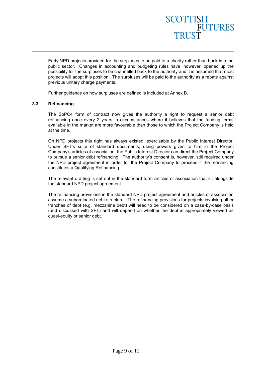### SCOTTISH<br>FUTURES TRUST

Early NPD projects provided for the surpluses to be paid to a charity rather than back into the public sector. Changes in accounting and budgeting rules have, however, opened up the possibility for the surpluses to be channelled back to the authority and it is assumed that most projects will adopt this position. The surpluses will be paid to the authority as a rebate against previous unitary charge payments.

Further guidance on how surpluses are defined is included at Annex B.

#### **3.3 Refinancing**

The SoPC4 form of contract now gives the authority a right to request a senior debt refinancing once every 2 years in circumstances where it believes that the funding terms available in the market are more favourable than those to which the Project Company is held at the time.

On NPD projects this right has always existed, exercisable by the Public Interest Director. Under SFT's suite of standard documents, using powers given to him in the Project Company's articles of association, the Public Interest Director can direct the Project Company to pursue a senior debt refinancing. The authority's consent is, however, still required under the NPD project agreement in order for the Project Company to proceed if the refinancing constitutes a Qualifying Refinancing.

The relevant drafting is set out in the standard form articles of association that sit alongside the standard NPD project agreement.

The refinancing provisions in the standard NPD project agreement and articles of association assume a subordinated debt structure. The refinancing provisions for projects involving other tranches of debt (e.g. mezzanine debt) will need to be considered on a case-by-case basis (and discussed with SFT) and will depend on whether the debt is appropriately viewed as quasi-equity or senior debt.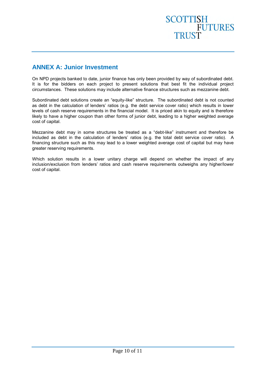### **SCOTTISH FUTURES** TRUST

#### <span id="page-9-0"></span>**ANNEX A: Junior Investment**

On NPD projects banked to date, junior finance has only been provided by way of subordinated debt. It is for the bidders on each project to present solutions that best fit the individual project circumstances. These solutions may include alternative finance structures such as mezzanine debt.

Subordinated debt solutions create an "equity-like" structure. The subordinated debt is not counted as debt in the calculation of lenders' ratios (e.g. the debt service cover ratio) which results in lower levels of cash reserve requirements in the financial model. It is priced akin to equity and is therefore likely to have a higher coupon than other forms of junior debt, leading to a higher weighted average cost of capital.

Mezzanine debt may in some structures be treated as a "debt-like" instrument and therefore be included as debt in the calculation of lenders' ratios (e.g. the total debt service cover ratio). A financing structure such as this may lead to a lower weighted average cost of capital but may have greater reserving requirements.

Which solution results in a lower unitary charge will depend on whether the impact of any inclusion/exclusion from lenders' ratios and cash reserve requirements outweighs any higher/lower cost of capital.